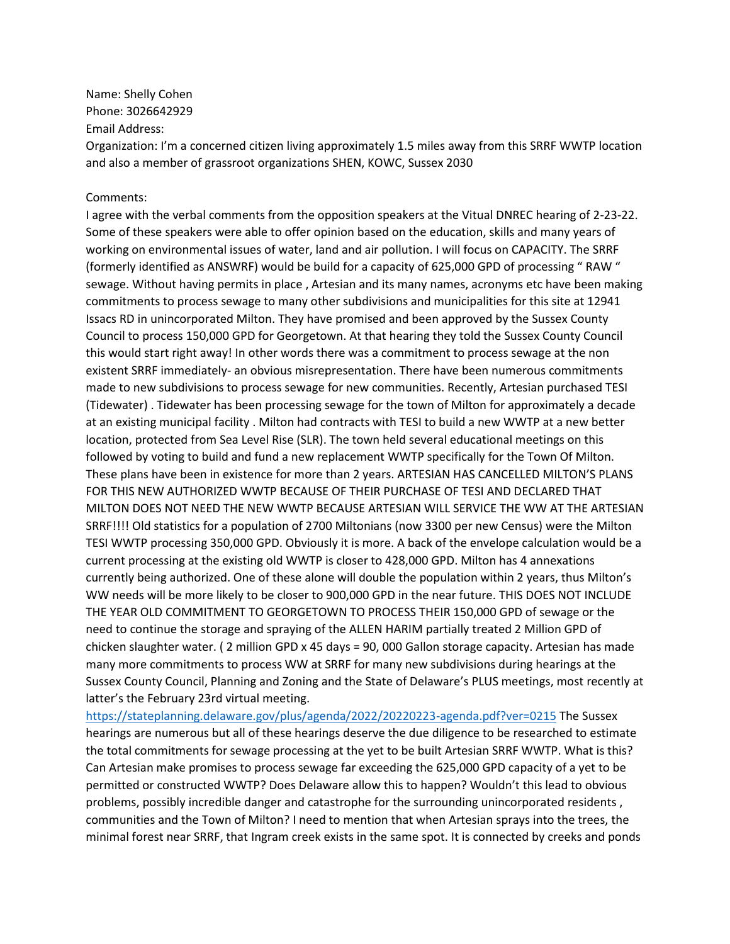Name: Shelly Cohen Phone: 3026642929 Email Address:

Organization: I'm a concerned citizen living approximately 1.5 miles away from this SRRF WWTP location and also a member of grassroot organizations SHEN, KOWC, Sussex 2030

## Comments:

I agree with the verbal comments from the opposition speakers at the Vitual DNREC hearing of 2-23-22. Some of these speakers were able to offer opinion based on the education, skills and many years of working on environmental issues of water, land and air pollution. I will focus on CAPACITY. The SRRF (formerly identified as ANSWRF) would be build for a capacity of 625,000 GPD of processing " RAW " sewage. Without having permits in place , Artesian and its many names, acronyms etc have been making commitments to process sewage to many other subdivisions and municipalities for this site at 12941 Issacs RD in unincorporated Milton. They have promised and been approved by the Sussex County Council to process 150,000 GPD for Georgetown. At that hearing they told the Sussex County Council this would start right away! In other words there was a commitment to process sewage at the non existent SRRF immediately- an obvious misrepresentation. There have been numerous commitments made to new subdivisions to process sewage for new communities. Recently, Artesian purchased TESI (Tidewater) . Tidewater has been processing sewage for the town of Milton for approximately a decade at an existing municipal facility . Milton had contracts with TESI to build a new WWTP at a new better location, protected from Sea Level Rise (SLR). The town held several educational meetings on this followed by voting to build and fund a new replacement WWTP specifically for the Town Of Milton. These plans have been in existence for more than 2 years. ARTESIAN HAS CANCELLED MILTON'S PLANS FOR THIS NEW AUTHORIZED WWTP BECAUSE OF THEIR PURCHASE OF TESI AND DECLARED THAT MILTON DOES NOT NEED THE NEW WWTP BECAUSE ARTESIAN WILL SERVICE THE WW AT THE ARTESIAN SRRF!!!! Old statistics for a population of 2700 Miltonians (now 3300 per new Census) were the Milton TESI WWTP processing 350,000 GPD. Obviously it is more. A back of the envelope calculation would be a current processing at the existing old WWTP is closer to 428,000 GPD. Milton has 4 annexations currently being authorized. One of these alone will double the population within 2 years, thus Milton's WW needs will be more likely to be closer to 900,000 GPD in the near future. THIS DOES NOT INCLUDE THE YEAR OLD COMMITMENT TO GEORGETOWN TO PROCESS THEIR 150,000 GPD of sewage or the need to continue the storage and spraying of the ALLEN HARIM partially treated 2 Million GPD of chicken slaughter water. ( 2 million GPD x 45 days = 90, 000 Gallon storage capacity. Artesian has made many more commitments to process WW at SRRF for many new subdivisions during hearings at the Sussex County Council, Planning and Zoning and the State of Delaware's PLUS meetings, most recently at latter's the February 23rd virtual meeting.

<https://stateplanning.delaware.gov/plus/agenda/2022/20220223-agenda.pdf?ver=0215> The Sussex hearings are numerous but all of these hearings deserve the due diligence to be researched to estimate the total commitments for sewage processing at the yet to be built Artesian SRRF WWTP. What is this? Can Artesian make promises to process sewage far exceeding the 625,000 GPD capacity of a yet to be permitted or constructed WWTP? Does Delaware allow this to happen? Wouldn't this lead to obvious problems, possibly incredible danger and catastrophe for the surrounding unincorporated residents , communities and the Town of Milton? I need to mention that when Artesian sprays into the trees, the minimal forest near SRRF, that Ingram creek exists in the same spot. It is connected by creeks and ponds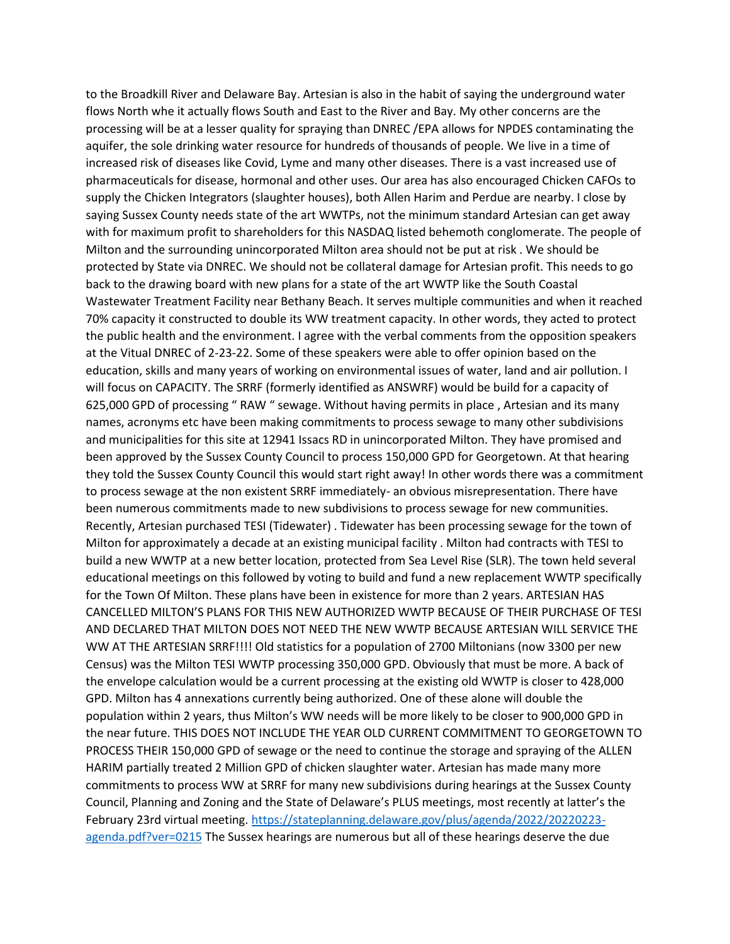to the Broadkill River and Delaware Bay. Artesian is also in the habit of saying the underground water flows North whe it actually flows South and East to the River and Bay. My other concerns are the processing will be at a lesser quality for spraying than DNREC /EPA allows for NPDES contaminating the aquifer, the sole drinking water resource for hundreds of thousands of people. We live in a time of increased risk of diseases like Covid, Lyme and many other diseases. There is a vast increased use of pharmaceuticals for disease, hormonal and other uses. Our area has also encouraged Chicken CAFOs to supply the Chicken Integrators (slaughter houses), both Allen Harim and Perdue are nearby. I close by saying Sussex County needs state of the art WWTPs, not the minimum standard Artesian can get away with for maximum profit to shareholders for this NASDAQ listed behemoth conglomerate. The people of Milton and the surrounding unincorporated Milton area should not be put at risk . We should be protected by State via DNREC. We should not be collateral damage for Artesian profit. This needs to go back to the drawing board with new plans for a state of the art WWTP like the South Coastal Wastewater Treatment Facility near Bethany Beach. It serves multiple communities and when it reached 70% capacity it constructed to double its WW treatment capacity. In other words, they acted to protect the public health and the environment. I agree with the verbal comments from the opposition speakers at the Vitual DNREC of 2-23-22. Some of these speakers were able to offer opinion based on the education, skills and many years of working on environmental issues of water, land and air pollution. I will focus on CAPACITY. The SRRF (formerly identified as ANSWRF) would be build for a capacity of 625,000 GPD of processing " RAW " sewage. Without having permits in place , Artesian and its many names, acronyms etc have been making commitments to process sewage to many other subdivisions and municipalities for this site at 12941 Issacs RD in unincorporated Milton. They have promised and been approved by the Sussex County Council to process 150,000 GPD for Georgetown. At that hearing they told the Sussex County Council this would start right away! In other words there was a commitment to process sewage at the non existent SRRF immediately- an obvious misrepresentation. There have been numerous commitments made to new subdivisions to process sewage for new communities. Recently, Artesian purchased TESI (Tidewater) . Tidewater has been processing sewage for the town of Milton for approximately a decade at an existing municipal facility . Milton had contracts with TESI to build a new WWTP at a new better location, protected from Sea Level Rise (SLR). The town held several educational meetings on this followed by voting to build and fund a new replacement WWTP specifically for the Town Of Milton. These plans have been in existence for more than 2 years. ARTESIAN HAS CANCELLED MILTON'S PLANS FOR THIS NEW AUTHORIZED WWTP BECAUSE OF THEIR PURCHASE OF TESI AND DECLARED THAT MILTON DOES NOT NEED THE NEW WWTP BECAUSE ARTESIAN WILL SERVICE THE WW AT THE ARTESIAN SRRF!!!! Old statistics for a population of 2700 Miltonians (now 3300 per new Census) was the Milton TESI WWTP processing 350,000 GPD. Obviously that must be more. A back of the envelope calculation would be a current processing at the existing old WWTP is closer to 428,000 GPD. Milton has 4 annexations currently being authorized. One of these alone will double the population within 2 years, thus Milton's WW needs will be more likely to be closer to 900,000 GPD in the near future. THIS DOES NOT INCLUDE THE YEAR OLD CURRENT COMMITMENT TO GEORGETOWN TO PROCESS THEIR 150,000 GPD of sewage or the need to continue the storage and spraying of the ALLEN HARIM partially treated 2 Million GPD of chicken slaughter water. Artesian has made many more commitments to process WW at SRRF for many new subdivisions during hearings at the Sussex County Council, Planning and Zoning and the State of Delaware's PLUS meetings, most recently at latter's the February 23rd virtual meeting. [https://stateplanning.delaware.gov/plus/agenda/2022/20220223](https://stateplanning.delaware.gov/plus/agenda/2022/20220223-agenda.pdf?ver=0215) [agenda.pdf?ver=0215](https://stateplanning.delaware.gov/plus/agenda/2022/20220223-agenda.pdf?ver=0215) The Sussex hearings are numerous but all of these hearings deserve the due